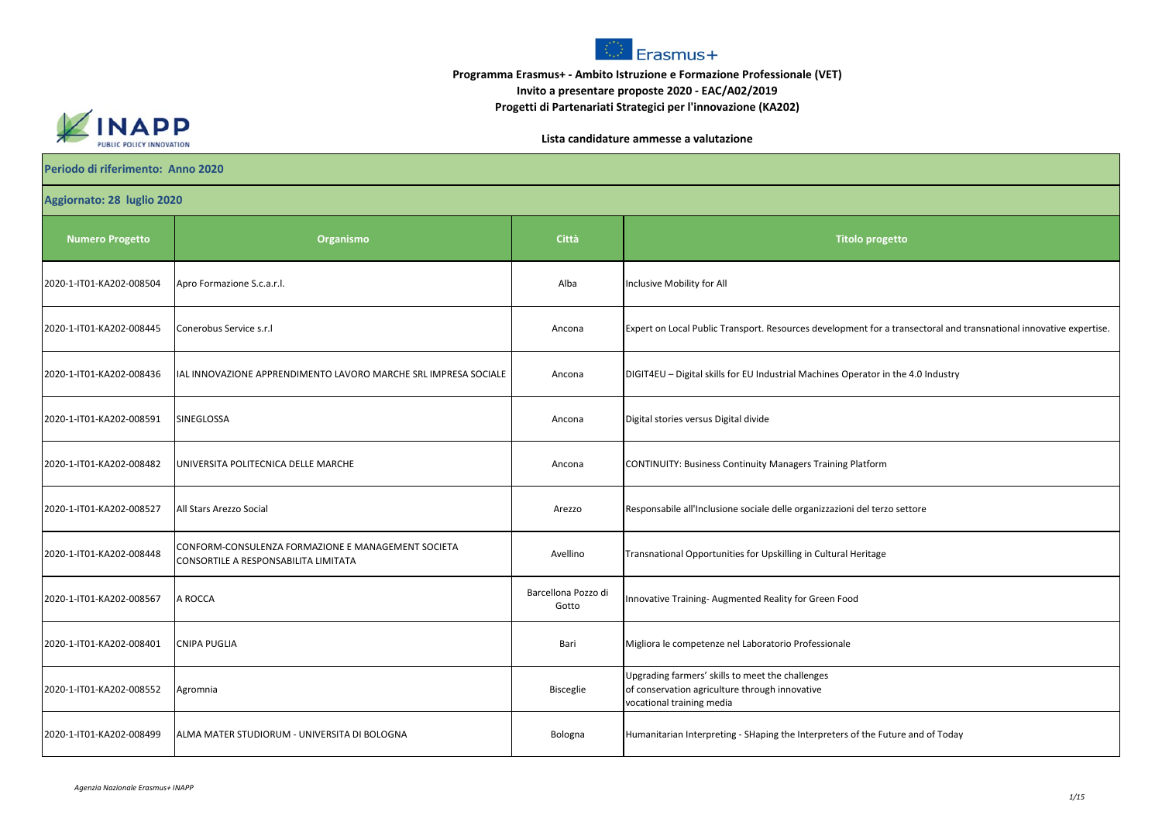

## **Programma Erasmus+ - Ambito Istruzione e Formazione Professionale (VET) Invito a presentare proposte 2020 - EAC/A02/2019 Progetti di Partenariati Strategici per l'innovazione (KA202)**



**Lista candidature ammesse a valutazione**

| Periodo di riferimento: Anno 2020 |                                                                                            |                              |                                                                                                                                 |  |  |
|-----------------------------------|--------------------------------------------------------------------------------------------|------------------------------|---------------------------------------------------------------------------------------------------------------------------------|--|--|
| Aggiornato: 28 luglio 2020        |                                                                                            |                              |                                                                                                                                 |  |  |
| <b>Numero Progetto</b>            | Organismo                                                                                  | <b>Città</b>                 | <b>Titolo progetto</b>                                                                                                          |  |  |
| 2020-1-IT01-KA202-008504          | Apro Formazione S.c.a.r.l.                                                                 | Alba                         | Inclusive Mobility for All                                                                                                      |  |  |
| 2020-1-IT01-KA202-008445          | Conerobus Service s.r.l                                                                    | Ancona                       | Expert on Local Public Transport. Resources development for a transectoral and transnational innovative expertise.              |  |  |
| 2020-1-IT01-KA202-008436          | IAL INNOVAZIONE APPRENDIMENTO LAVORO MARCHE SRL IMPRESA SOCIALE                            | Ancona                       | DIGIT4EU - Digital skills for EU Industrial Machines Operator in the 4.0 Industry                                               |  |  |
| 2020-1-IT01-KA202-008591          | SINEGLOSSA                                                                                 | Ancona                       | Digital stories versus Digital divide                                                                                           |  |  |
| 2020-1-IT01-KA202-008482          | UNIVERSITA POLITECNICA DELLE MARCHE                                                        | Ancona                       | CONTINUITY: Business Continuity Managers Training Platform                                                                      |  |  |
| 2020-1-IT01-KA202-008527          | All Stars Arezzo Social                                                                    | Arezzo                       | Responsabile all'Inclusione sociale delle organizzazioni del terzo settore                                                      |  |  |
| 2020-1-IT01-KA202-008448          | CONFORM-CONSULENZA FORMAZIONE E MANAGEMENT SOCIETA<br>CONSORTILE A RESPONSABILITA LIMITATA | Avellino                     | Transnational Opportunities for Upskilling in Cultural Heritage                                                                 |  |  |
| 2020-1-IT01-KA202-008567          | A ROCCA                                                                                    | Barcellona Pozzo di<br>Gotto | Innovative Training-Augmented Reality for Green Food                                                                            |  |  |
| 2020-1-IT01-KA202-008401          | <b>CNIPA PUGLIA</b>                                                                        | Bari                         | Migliora le competenze nel Laboratorio Professionale                                                                            |  |  |
| 2020-1-IT01-KA202-008552          | Agromnia                                                                                   | <b>Bisceglie</b>             | Upgrading farmers' skills to meet the challenges<br>of conservation agriculture through innovative<br>vocational training media |  |  |
| 2020-1-IT01-KA202-008499          | ALMA MATER STUDIORUM - UNIVERSITA DI BOLOGNA                                               | Bologna                      | Humanitarian Interpreting - SHaping the Interpreters of the Future and of Today                                                 |  |  |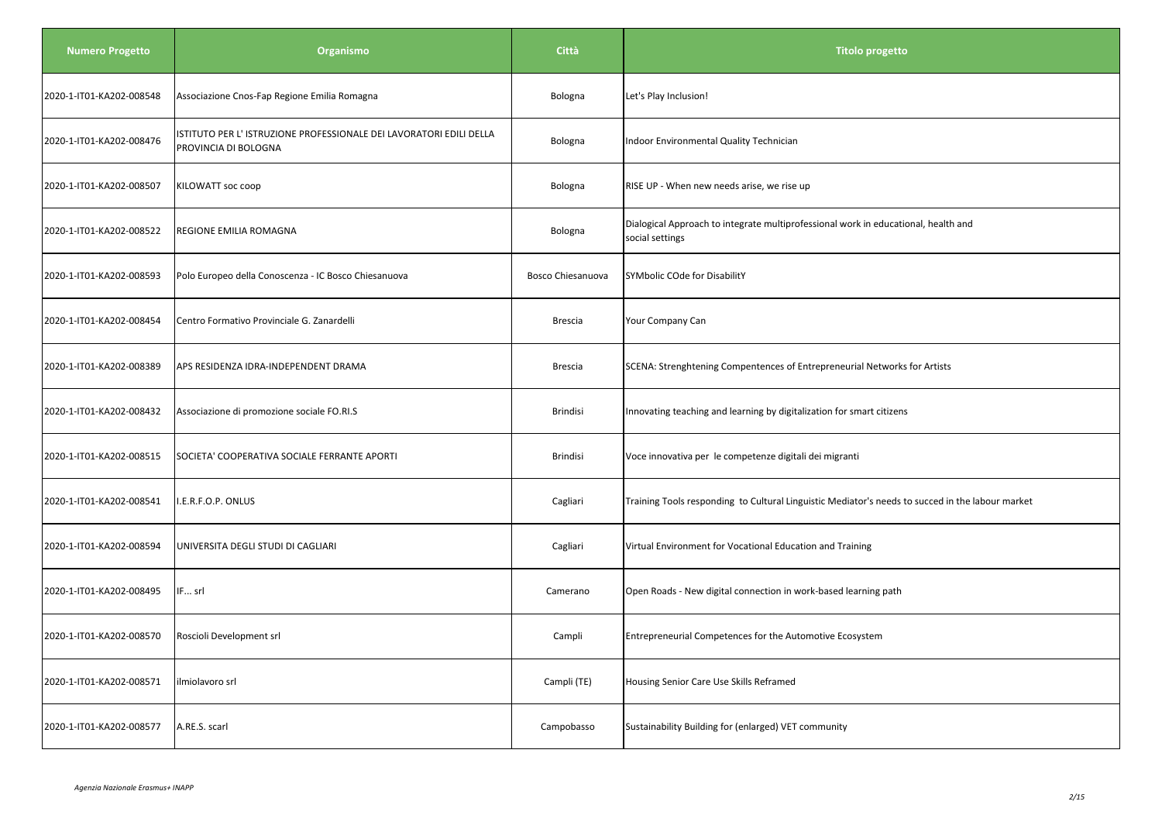| <b>Numero Progetto</b>   | Organismo                                                                                  | Città                    | <b>Titolo progetto</b>                                                                                |
|--------------------------|--------------------------------------------------------------------------------------------|--------------------------|-------------------------------------------------------------------------------------------------------|
| 2020-1-IT01-KA202-008548 | Associazione Cnos-Fap Regione Emilia Romagna                                               | Bologna                  | Let's Play Inclusion!                                                                                 |
| 2020-1-IT01-KA202-008476 | ISTITUTO PER L'ISTRUZIONE PROFESSIONALE DEI LAVORATORI EDILI DELLA<br>PROVINCIA DI BOLOGNA | Bologna                  | Indoor Environmental Quality Technician                                                               |
| 2020-1-IT01-KA202-008507 | KILOWATT soc coop                                                                          | Bologna                  | RISE UP - When new needs arise, we rise up                                                            |
| 2020-1-IT01-KA202-008522 | REGIONE EMILIA ROMAGNA                                                                     | Bologna                  | Dialogical Approach to integrate multiprofessional work in educational, health and<br>social settings |
| 2020-1-IT01-KA202-008593 | Polo Europeo della Conoscenza - IC Bosco Chiesanuova                                       | <b>Bosco Chiesanuova</b> | SYMbolic COde for DisabilitY                                                                          |
| 2020-1-IT01-KA202-008454 | Centro Formativo Provinciale G. Zanardelli                                                 | Brescia                  | Your Company Can                                                                                      |
| 2020-1-IT01-KA202-008389 | APS RESIDENZA IDRA-INDEPENDENT DRAMA                                                       | <b>Brescia</b>           | SCENA: Strenghtening Compentences of Entrepreneurial Networks for Artists                             |
| 2020-1-IT01-KA202-008432 | Associazione di promozione sociale FO.RI.S                                                 | Brindisi                 | Innovating teaching and learning by digitalization for smart citizens                                 |
| 2020-1-IT01-KA202-008515 | SOCIETA' COOPERATIVA SOCIALE FERRANTE APORTI                                               | Brindisi                 | Voce innovativa per le competenze digitali dei migranti                                               |
| 2020-1-IT01-KA202-008541 | I.E.R.F.O.P. ONLUS                                                                         | Cagliari                 | Training Tools responding to Cultural Linguistic Mediator's needs to succed in the labour market      |
| 2020-1-IT01-KA202-008594 | UNIVERSITA DEGLI STUDI DI CAGLIARI                                                         | Cagliari                 | Virtual Environment for Vocational Education and Training                                             |
| 2020-1-IT01-KA202-008495 | IF srl                                                                                     | Camerano                 | Open Roads - New digital connection in work-based learning path                                       |
| 2020-1-IT01-KA202-008570 | Roscioli Development srl                                                                   | Campli                   | Entrepreneurial Competences for the Automotive Ecosystem                                              |
| 2020-1-IT01-KA202-008571 | ilmiolavoro srl                                                                            | Campli (TE)              | Housing Senior Care Use Skills Reframed                                                               |
| 2020-1-IT01-KA202-008577 | A.RE.S. scarl                                                                              | Campobasso               | Sustainability Building for (enlarged) VET community                                                  |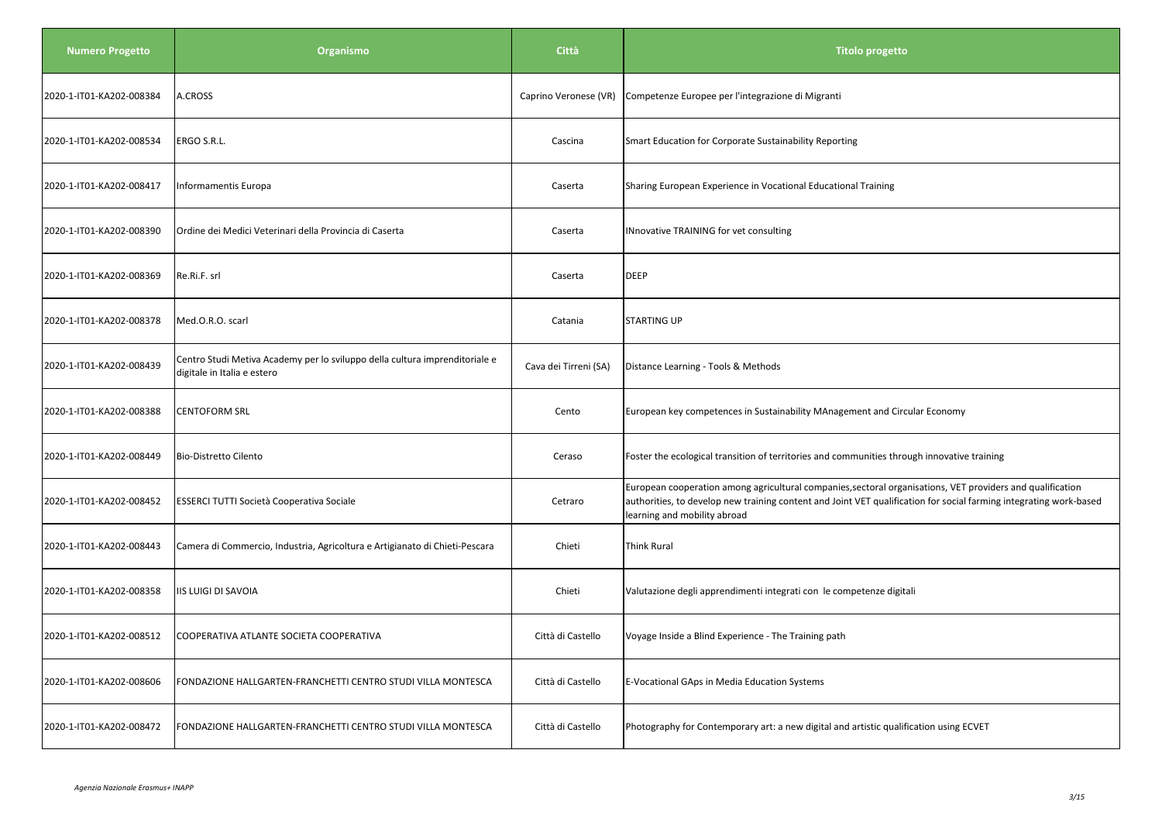| <b>Numero Progetto</b>   | Organismo                                                                                                  | Città                 | <b>Titolo progetto</b>                                                                                                                                                                                                                                           |
|--------------------------|------------------------------------------------------------------------------------------------------------|-----------------------|------------------------------------------------------------------------------------------------------------------------------------------------------------------------------------------------------------------------------------------------------------------|
| 2020-1-IT01-KA202-008384 | A.CROSS                                                                                                    | Caprino Veronese (VR) | Competenze Europee per l'integrazione di Migranti                                                                                                                                                                                                                |
| 2020-1-IT01-KA202-008534 | ERGO S.R.L.                                                                                                | Cascina               | Smart Education for Corporate Sustainability Reporting                                                                                                                                                                                                           |
| 2020-1-IT01-KA202-008417 | Informamentis Europa                                                                                       | Caserta               | Sharing European Experience in Vocational Educational Training                                                                                                                                                                                                   |
| 2020-1-IT01-KA202-008390 | Ordine dei Medici Veterinari della Provincia di Caserta                                                    | Caserta               | INnovative TRAINING for vet consulting                                                                                                                                                                                                                           |
| 2020-1-IT01-KA202-008369 | Re.Ri.F. srl                                                                                               | Caserta               | DEEP                                                                                                                                                                                                                                                             |
| 2020-1-IT01-KA202-008378 | Med.O.R.O. scarl                                                                                           | Catania               | <b>STARTING UP</b>                                                                                                                                                                                                                                               |
| 2020-1-IT01-KA202-008439 | Centro Studi Metiva Academy per lo sviluppo della cultura imprenditoriale e<br>digitale in Italia e estero | Cava dei Tirreni (SA) | Distance Learning - Tools & Methods                                                                                                                                                                                                                              |
| 2020-1-IT01-KA202-008388 | <b>CENTOFORM SRL</b>                                                                                       | Cento                 | European key competences in Sustainability MAnagement and Circular Economy                                                                                                                                                                                       |
| 2020-1-IT01-KA202-008449 | Bio-Distretto Cilento                                                                                      | Ceraso                | Foster the ecological transition of territories and communities through innovative training                                                                                                                                                                      |
| 2020-1-IT01-KA202-008452 | ESSERCI TUTTI Società Cooperativa Sociale                                                                  | Cetraro               | European cooperation among agricultural companies, sectoral organisations, VET providers and qualification<br>authorities, to develop new training content and Joint VET qualification for social farming integrating work-based<br>learning and mobility abroad |
| 2020-1-IT01-KA202-008443 | Camera di Commercio, Industria, Agricoltura e Artigianato di Chieti-Pescara                                | Chieti                | Think Rural                                                                                                                                                                                                                                                      |
| 2020-1-IT01-KA202-008358 | <b>IIS LUIGI DI SAVOIA</b>                                                                                 | Chieti                | Valutazione degli apprendimenti integrati con le competenze digitali                                                                                                                                                                                             |
| 2020-1-IT01-KA202-008512 | COOPERATIVA ATLANTE SOCIETA COOPERATIVA                                                                    | Città di Castello     | Voyage Inside a Blind Experience - The Training path                                                                                                                                                                                                             |
| 2020-1-IT01-KA202-008606 | FONDAZIONE HALLGARTEN-FRANCHETTI CENTRO STUDI VILLA MONTESCA                                               | Città di Castello     | E-Vocational GAps in Media Education Systems                                                                                                                                                                                                                     |
| 2020-1-IT01-KA202-008472 | FONDAZIONE HALLGARTEN-FRANCHETTI CENTRO STUDI VILLA MONTESCA                                               | Città di Castello     | Photography for Contemporary art: a new digital and artistic qualification using ECVET                                                                                                                                                                           |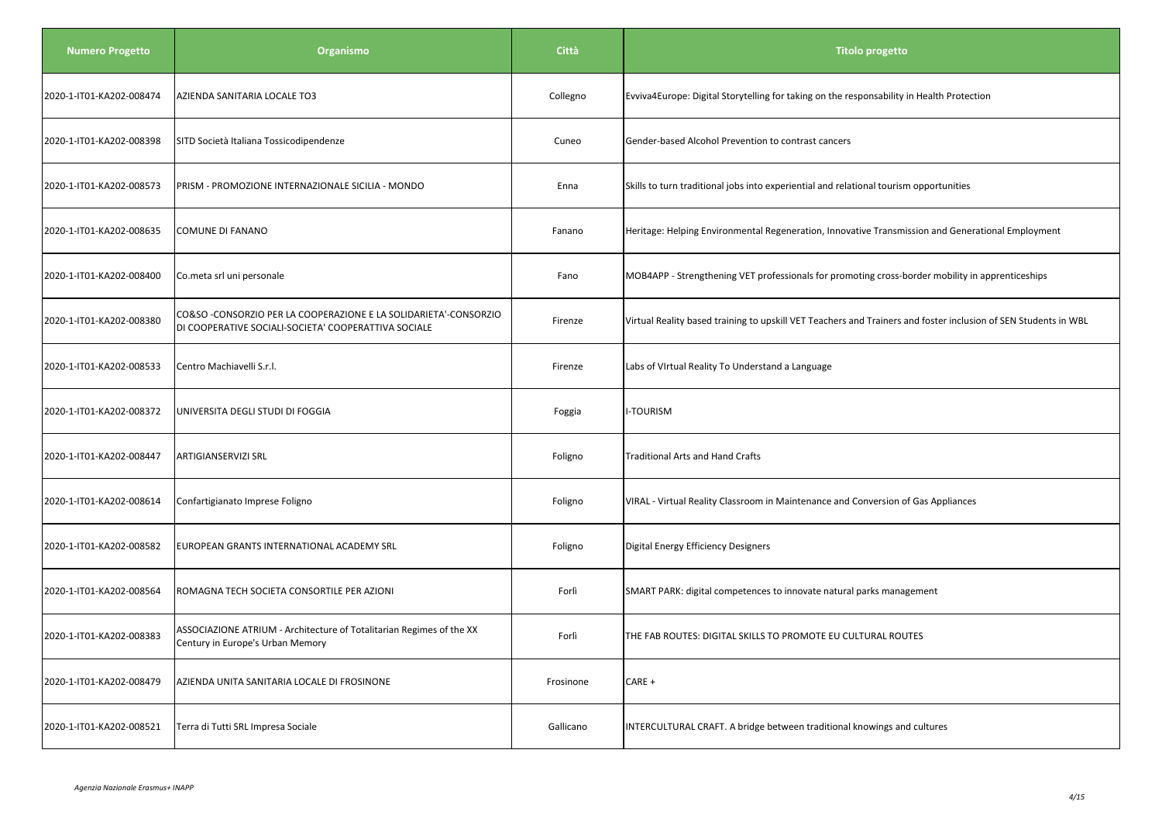| <b>Numero Progetto</b>   | Organismo                                                                                                                | <b>Città</b> | <b>Titolo progetto</b>                                                                                          |
|--------------------------|--------------------------------------------------------------------------------------------------------------------------|--------------|-----------------------------------------------------------------------------------------------------------------|
| 2020-1-IT01-KA202-008474 | AZIENDA SANITARIA LOCALE TO3                                                                                             | Collegno     | Evviva4Europe: Digital Storytelling for taking on the responsability in Health Protection                       |
| 2020-1-IT01-KA202-008398 | SITD Società Italiana Tossicodipendenze                                                                                  | Cuneo        | Gender-based Alcohol Prevention to contrast cancers                                                             |
| 2020-1-IT01-KA202-008573 | PRISM - PROMOZIONE INTERNAZIONALE SICILIA - MONDO                                                                        | Enna         | Skills to turn traditional jobs into experiential and relational tourism opportunities                          |
| 2020-1-IT01-KA202-008635 | COMUNE DI FANANO                                                                                                         | Fanano       | Heritage: Helping Environmental Regeneration, Innovative Transmission and Generational Employment               |
| 2020-1-IT01-KA202-008400 | Co.meta srl uni personale                                                                                                | Fano         | MOB4APP - Strengthening VET professionals for promoting cross-border mobility in apprenticeships                |
| 2020-1-IT01-KA202-008380 | CO&SO -CONSORZIO PER LA COOPERAZIONE E LA SOLIDARIETA'-CONSORZIO<br>DI COOPERATIVE SOCIALI-SOCIETA' COOPERATTIVA SOCIALE | Firenze      | Virtual Reality based training to upskill VET Teachers and Trainers and foster inclusion of SEN Students in WBL |
| 2020-1-IT01-KA202-008533 | Centro Machiavelli S.r.l.                                                                                                | Firenze      | Labs of VIrtual Reality To Understand a Language                                                                |
| 2020-1-IT01-KA202-008372 | UNIVERSITA DEGLI STUDI DI FOGGIA                                                                                         | Foggia       | <b>I-TOURISM</b>                                                                                                |
| 2020-1-IT01-KA202-008447 | ARTIGIANSERVIZI SRL                                                                                                      | Foligno      | Traditional Arts and Hand Crafts                                                                                |
| 2020-1-IT01-KA202-008614 | Confartigianato Imprese Foligno                                                                                          | Foligno      | VIRAL - Virtual Reality Classroom in Maintenance and Conversion of Gas Appliances                               |
| 2020-1-IT01-KA202-008582 | EUROPEAN GRANTS INTERNATIONAL ACADEMY SRL                                                                                | Foligno      | Digital Energy Efficiency Designers                                                                             |
| 2020-1-IT01-KA202-008564 | ROMAGNA TECH SOCIETA CONSORTILE PER AZIONI                                                                               | Forlì        | SMART PARK: digital competences to innovate natural parks management                                            |
| 2020-1-IT01-KA202-008383 | ASSOCIAZIONE ATRIUM - Architecture of Totalitarian Regimes of the XX<br>Century in Europe's Urban Memory                 | Forlì        | THE FAB ROUTES: DIGITAL SKILLS TO PROMOTE EU CULTURAL ROUTES                                                    |
| 2020-1-IT01-KA202-008479 | AZIENDA UNITA SANITARIA LOCALE DI FROSINONE                                                                              | Frosinone    | $CARE +$                                                                                                        |
| 2020-1-IT01-KA202-008521 | Terra di Tutti SRL Impresa Sociale                                                                                       | Gallicano    | INTERCULTURAL CRAFT. A bridge between traditional knowings and cultures                                         |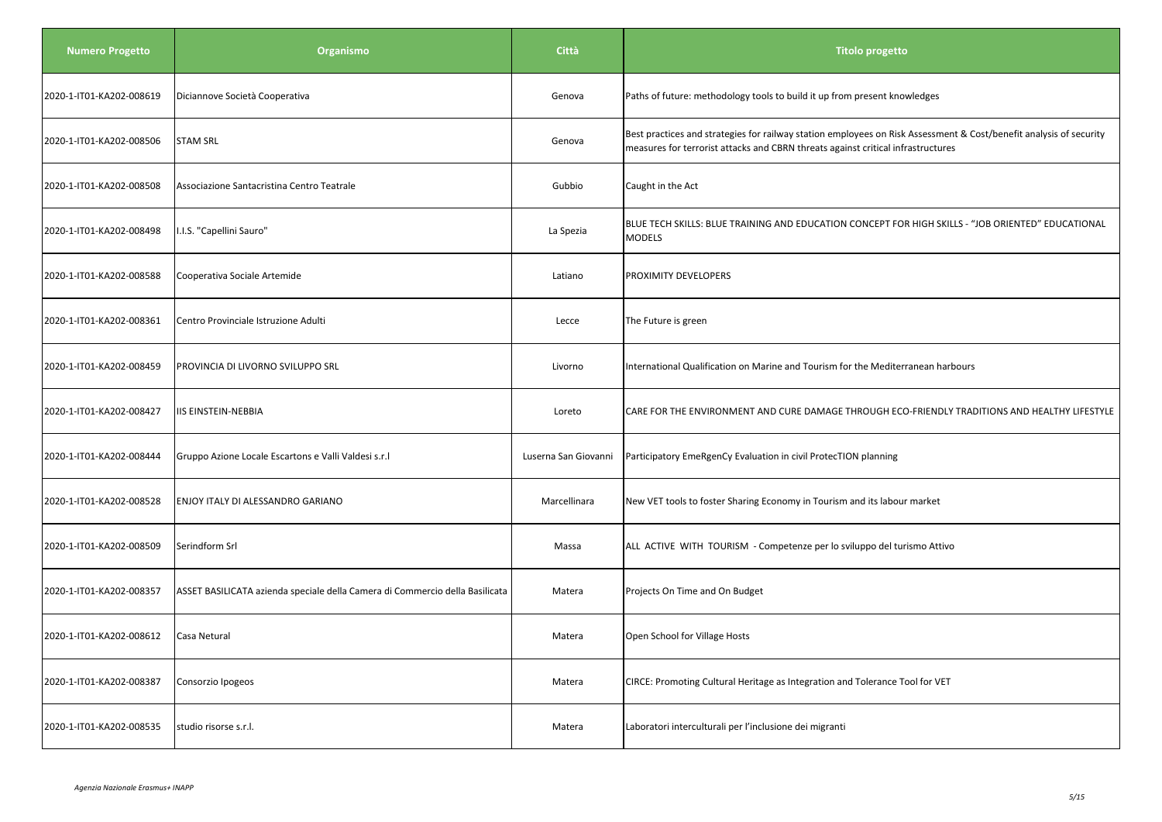| <b>Numero Progetto</b>   | Organismo                                                                    | <b>Città</b>         | <b>Titolo progetto</b>                                                                                                                                                                                 |
|--------------------------|------------------------------------------------------------------------------|----------------------|--------------------------------------------------------------------------------------------------------------------------------------------------------------------------------------------------------|
| 2020-1-IT01-KA202-008619 | Diciannove Società Cooperativa                                               | Genova               | Paths of future: methodology tools to build it up from present knowledges                                                                                                                              |
| 2020-1-IT01-KA202-008506 | <b>STAM SRL</b>                                                              | Genova               | Best practices and strategies for railway station employees on Risk Assessment & Cost/benefit analysis of security<br>measures for terrorist attacks and CBRN threats against critical infrastructures |
| 2020-1-IT01-KA202-008508 | Associazione Santacristina Centro Teatrale                                   | Gubbio               | Caught in the Act                                                                                                                                                                                      |
| 2020-1-IT01-KA202-008498 | .I.S. "Capellini Sauro"                                                      | La Spezia            | BLUE TECH SKILLS: BLUE TRAINING AND EDUCATION CONCEPT FOR HIGH SKILLS - "JOB ORIENTED" EDUCATIONAL<br><b>MODELS</b>                                                                                    |
| 2020-1-IT01-KA202-008588 | Cooperativa Sociale Artemide                                                 | Latiano              | <b>PROXIMITY DEVELOPERS</b>                                                                                                                                                                            |
| 2020-1-IT01-KA202-008361 | Centro Provinciale Istruzione Adulti                                         | Lecce                | The Future is green                                                                                                                                                                                    |
| 2020-1-IT01-KA202-008459 | PROVINCIA DI LIVORNO SVILUPPO SRL                                            | Livorno              | International Qualification on Marine and Tourism for the Mediterranean harbours                                                                                                                       |
| 2020-1-IT01-KA202-008427 | <b>IIS EINSTEIN-NEBBIA</b>                                                   | Loreto               | CARE FOR THE ENVIRONMENT AND CURE DAMAGE THROUGH ECO-FRIENDLY TRADITIONS AND HEALTHY LIFESTYLE                                                                                                         |
| 2020-1-IT01-KA202-008444 | Gruppo Azione Locale Escartons e Valli Valdesi s.r.l                         | Luserna San Giovanni | Participatory EmeRgenCy Evaluation in civil ProtecTION planning                                                                                                                                        |
| 2020-1-IT01-KA202-008528 | ENJOY ITALY DI ALESSANDRO GARIANO                                            | Marcellinara         | New VET tools to foster Sharing Economy in Tourism and its labour market                                                                                                                               |
| 2020-1-IT01-KA202-008509 | Serindform Srl                                                               | Massa                | ALL ACTIVE WITH TOURISM - Competenze per lo sviluppo del turismo Attivo                                                                                                                                |
| 2020-1-IT01-KA202-008357 | ASSET BASILICATA azienda speciale della Camera di Commercio della Basilicata | Matera               | Projects On Time and On Budget                                                                                                                                                                         |
| 2020-1-IT01-KA202-008612 | Casa Netural                                                                 | Matera               | Open School for Village Hosts                                                                                                                                                                          |
| 2020-1-IT01-KA202-008387 | Consorzio Ipogeos                                                            | Matera               | CIRCE: Promoting Cultural Heritage as Integration and Tolerance Tool for VET                                                                                                                           |
| 2020-1-IT01-KA202-008535 | studio risorse s.r.l.                                                        | Matera               | Laboratori interculturali per l'inclusione dei migranti                                                                                                                                                |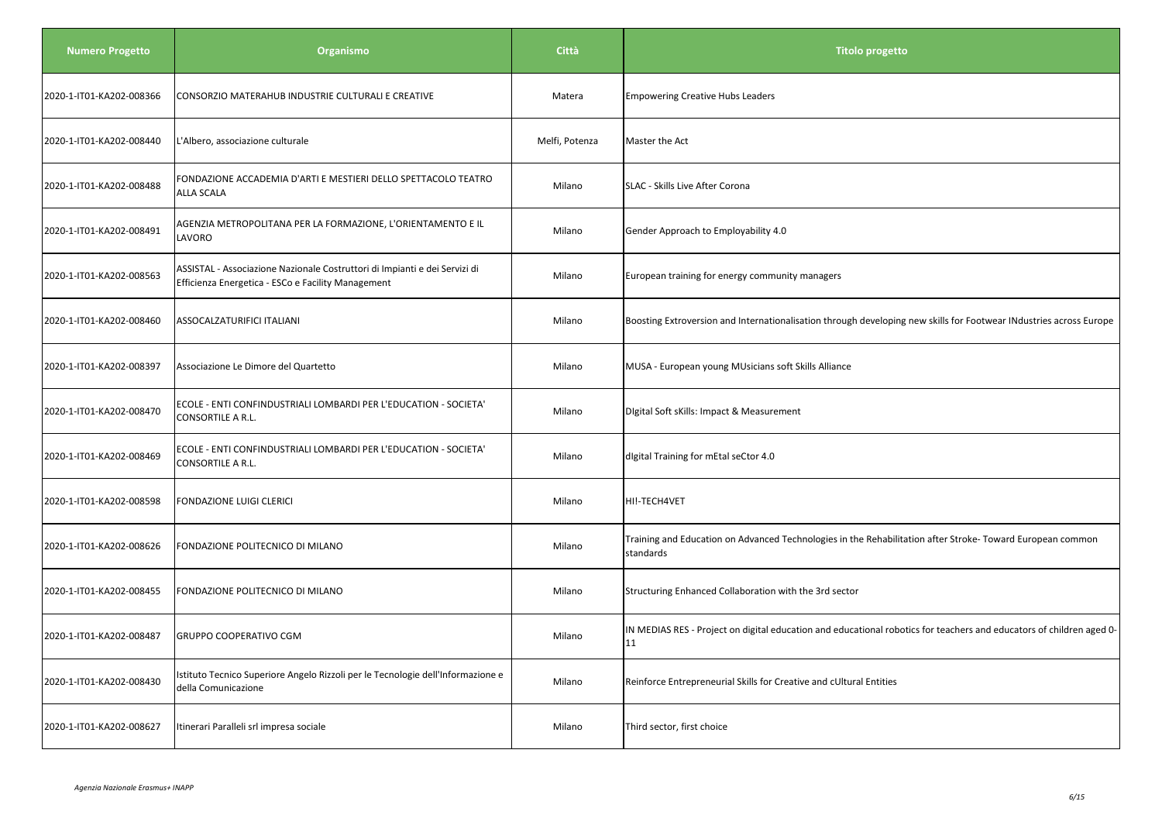| <b>Numero Progetto</b>   | Organismo                                                                                                                        | Città          | Titolo progetto                                                                                                            |
|--------------------------|----------------------------------------------------------------------------------------------------------------------------------|----------------|----------------------------------------------------------------------------------------------------------------------------|
| 2020-1-IT01-KA202-008366 | CONSORZIO MATERAHUB INDUSTRIE CULTURALI E CREATIVE                                                                               | Matera         | <b>Empowering Creative Hubs Leaders</b>                                                                                    |
| 2020-1-IT01-KA202-008440 | L'Albero, associazione culturale                                                                                                 | Melfi, Potenza | Master the Act                                                                                                             |
| 2020-1-IT01-KA202-008488 | FONDAZIONE ACCADEMIA D'ARTI E MESTIERI DELLO SPETTACOLO TEATRO<br><b>ALLA SCALA</b>                                              | Milano         | SLAC - Skills Live After Corona                                                                                            |
| 2020-1-IT01-KA202-008491 | AGENZIA METROPOLITANA PER LA FORMAZIONE, L'ORIENTAMENTO E IL<br>LAVORO                                                           | Milano         | Gender Approach to Employability 4.0                                                                                       |
| 2020-1-IT01-KA202-008563 | ASSISTAL - Associazione Nazionale Costruttori di Impianti e dei Servizi di<br>Efficienza Energetica - ESCo e Facility Management | Milano         | European training for energy community managers                                                                            |
| 2020-1-IT01-KA202-008460 | ASSOCALZATURIFICI ITALIANI                                                                                                       | Milano         | Boosting Extroversion and Internationalisation through developing new skills for Footwear INdustries across Europe         |
| 2020-1-IT01-KA202-008397 | Associazione Le Dimore del Quartetto                                                                                             | Milano         | MUSA - European young MUsicians soft Skills Alliance                                                                       |
| 2020-1-IT01-KA202-008470 | ECOLE - ENTI CONFINDUSTRIALI LOMBARDI PER L'EDUCATION - SOCIETA'<br>CONSORTILE A R.L.                                            | Milano         | Digital Soft sKills: Impact & Measurement                                                                                  |
| 2020-1-IT01-KA202-008469 | ECOLE - ENTI CONFINDUSTRIALI LOMBARDI PER L'EDUCATION - SOCIETA'<br>CONSORTILE A R.L.                                            | Milano         | digital Training for mEtal seCtor 4.0                                                                                      |
| 2020-1-IT01-KA202-008598 | FONDAZIONE LUIGI CLERICI                                                                                                         | Milano         | HI!-TECH4VET                                                                                                               |
| 2020-1-IT01-KA202-008626 | FONDAZIONE POLITECNICO DI MILANO                                                                                                 | Milano         | Training and Education on Advanced Technologies in the Rehabilitation after Stroke-Toward European common<br>standards     |
| 2020-1-IT01-KA202-008455 | FONDAZIONE POLITECNICO DI MILANO                                                                                                 | Milano         | Structuring Enhanced Collaboration with the 3rd sector                                                                     |
| 2020-1-IT01-KA202-008487 | GRUPPO COOPERATIVO CGM                                                                                                           | Milano         | IN MEDIAS RES - Project on digital education and educational robotics for teachers and educators of children aged 0-<br>11 |
| 2020-1-IT01-KA202-008430 | Istituto Tecnico Superiore Angelo Rizzoli per le Tecnologie dell'Informazione e<br>della Comunicazione                           | Milano         | Reinforce Entrepreneurial Skills for Creative and cUltural Entities                                                        |
| 2020-1-IT01-KA202-008627 | Itinerari Paralleli srl impresa sociale                                                                                          | Milano         | Third sector, first choice                                                                                                 |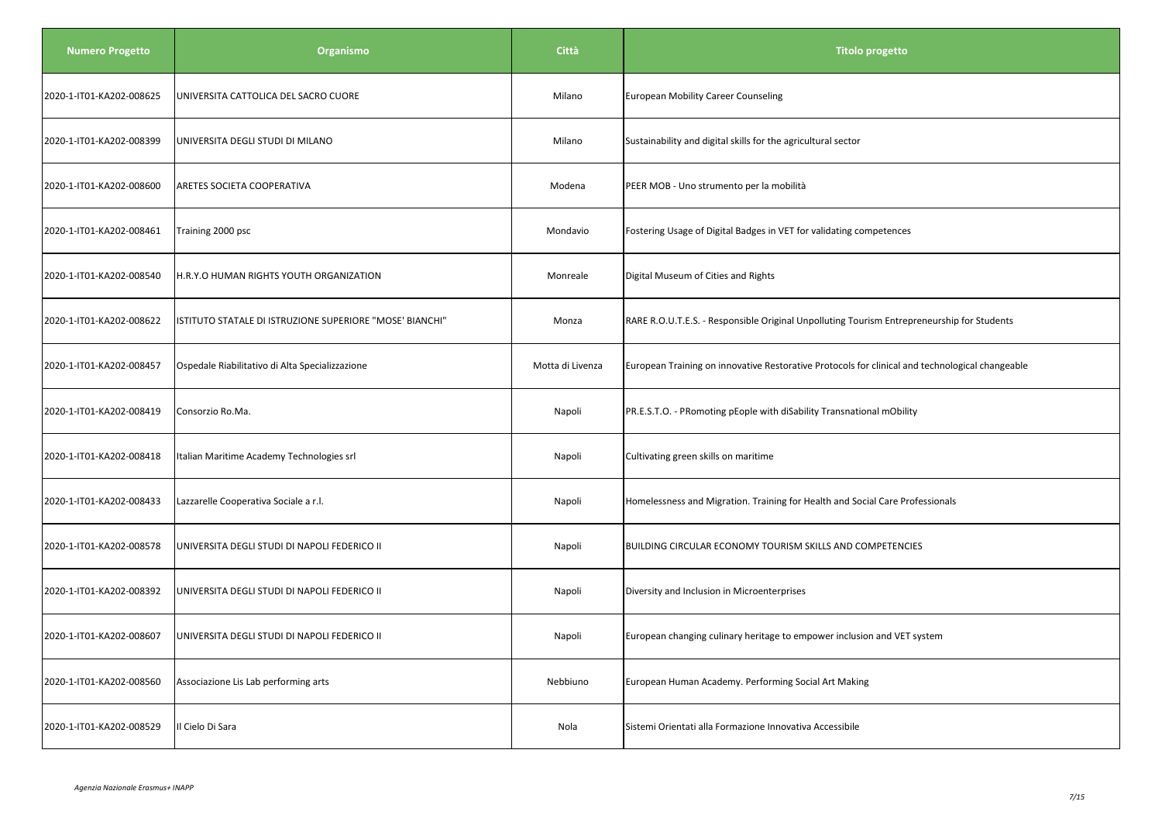| <b>Numero Progetto</b>   | Organismo                                                | Città            | <b>Titolo progetto</b>                                                                          |
|--------------------------|----------------------------------------------------------|------------------|-------------------------------------------------------------------------------------------------|
| 2020-1-IT01-KA202-008625 | UNIVERSITA CATTOLICA DEL SACRO CUORE                     | Milano           | <b>European Mobility Career Counseling</b>                                                      |
| 2020-1-IT01-KA202-008399 | UNIVERSITA DEGLI STUDI DI MILANO                         | Milano           | Sustainability and digital skills for the agricultural sector                                   |
| 2020-1-IT01-KA202-008600 | ARETES SOCIETA COOPERATIVA                               | Modena           | PEER MOB - Uno strumento per la mobilità                                                        |
| 2020-1-IT01-KA202-008461 | Training 2000 psc                                        | Mondavio         | Fostering Usage of Digital Badges in VET for validating competences                             |
| 2020-1-IT01-KA202-008540 | H.R.Y.O HUMAN RIGHTS YOUTH ORGANIZATION                  | Monreale         | Digital Museum of Cities and Rights                                                             |
| 2020-1-IT01-KA202-008622 | ISTITUTO STATALE DI ISTRUZIONE SUPERIORE "MOSE' BIANCHI" | Monza            | RARE R.O.U.T.E.S. - Responsible Original Unpolluting Tourism Entrepreneurship for Students      |
| 2020-1-IT01-KA202-008457 | Ospedale Riabilitativo di Alta Specializzazione          | Motta di Livenza | European Training on innovative Restorative Protocols for clinical and technological changeable |
| 2020-1-IT01-KA202-008419 | Consorzio Ro.Ma.                                         | Napoli           | PR.E.S.T.O. - PRomoting pEople with diSability Transnational mObility                           |
| 2020-1-IT01-KA202-008418 | Italian Maritime Academy Technologies srl                | Napoli           | Cultivating green skills on maritime                                                            |
| 2020-1-IT01-KA202-008433 | Lazzarelle Cooperativa Sociale a r.l.                    | Napoli           | Homelessness and Migration. Training for Health and Social Care Professionals                   |
| 2020-1-IT01-KA202-008578 | UNIVERSITA DEGLI STUDI DI NAPOLI FEDERICO II             | Napoli           | BUILDING CIRCULAR ECONOMY TOURISM SKILLS AND COMPETENCIES                                       |
| 2020-1-IT01-KA202-008392 | UNIVERSITA DEGLI STUDI DI NAPOLI FEDERICO II             | Napoli           | Diversity and Inclusion in Microenterprises                                                     |
| 2020-1-IT01-KA202-008607 | UNIVERSITA DEGLI STUDI DI NAPOLI FEDERICO II             | Napoli           | European changing culinary heritage to empower inclusion and VET system                         |
| 2020-1-IT01-KA202-008560 | Associazione Lis Lab performing arts                     | Nebbiuno         | European Human Academy. Performing Social Art Making                                            |
| 2020-1-IT01-KA202-008529 | Il Cielo Di Sara                                         | Nola             | Sistemi Orientati alla Formazione Innovativa Accessibile                                        |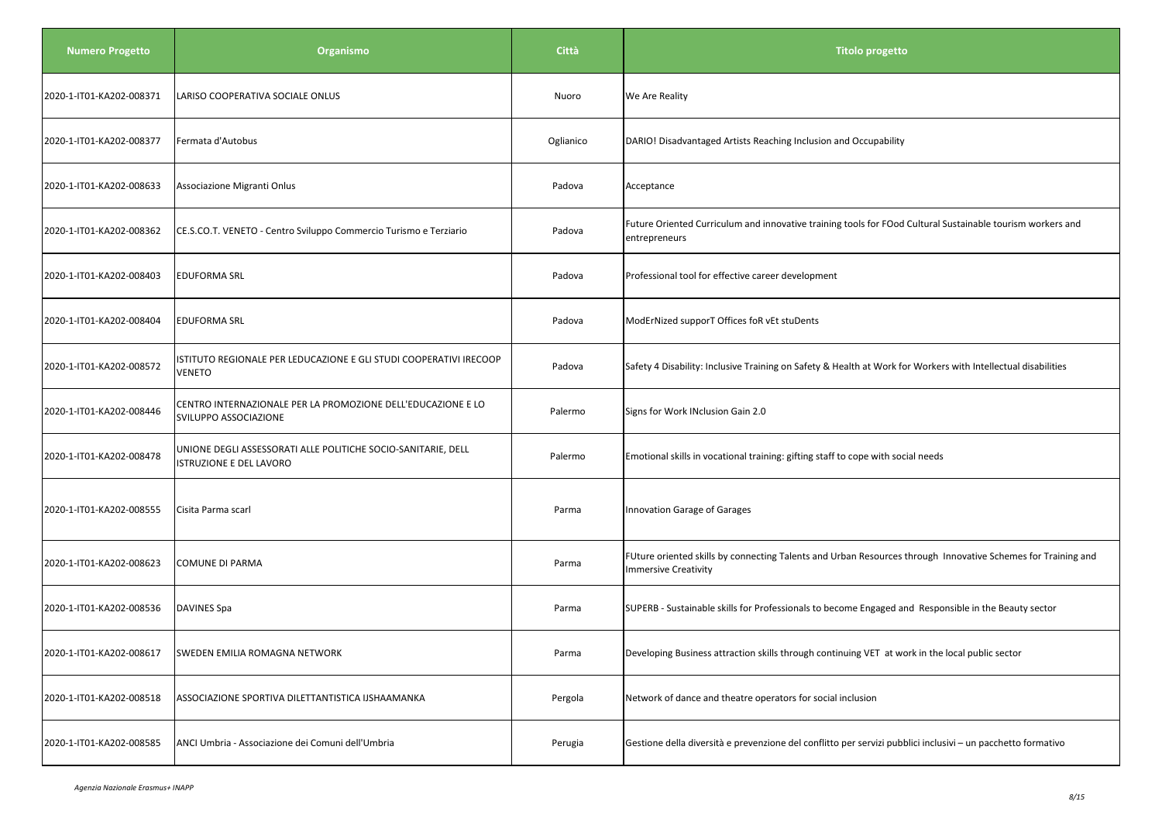| <b>Numero Progetto</b>   | Organismo                                                                                       | <b>Città</b> | <b>Titolo progetto</b>                                                                                                                      |
|--------------------------|-------------------------------------------------------------------------------------------------|--------------|---------------------------------------------------------------------------------------------------------------------------------------------|
| 2020-1-IT01-KA202-008371 | LARISO COOPERATIVA SOCIALE ONLUS                                                                | Nuoro        | We Are Reality                                                                                                                              |
| 2020-1-IT01-KA202-008377 | Fermata d'Autobus                                                                               | Oglianico    | DARIO! Disadvantaged Artists Reaching Inclusion and Occupability                                                                            |
| 2020-1-IT01-KA202-008633 | Associazione Migranti Onlus                                                                     | Padova       | Acceptance                                                                                                                                  |
| 2020-1-IT01-KA202-008362 | CE.S.CO.T. VENETO - Centro Sviluppo Commercio Turismo e Terziario                               | Padova       | Future Oriented Curriculum and innovative training tools for FOod Cultural Sustainable tourism workers and<br>entrepreneurs                 |
| 2020-1-IT01-KA202-008403 | <b>EDUFORMA SRL</b>                                                                             | Padova       | Professional tool for effective career development                                                                                          |
| 2020-1-IT01-KA202-008404 | <b>EDUFORMA SRL</b>                                                                             | Padova       | ModErNized supporT Offices foR vEt stuDents                                                                                                 |
| 2020-1-IT01-KA202-008572 | ISTITUTO REGIONALE PER LEDUCAZIONE E GLI STUDI COOPERATIVI IRECOOP<br><b>VENETO</b>             | Padova       | Safety 4 Disability: Inclusive Training on Safety & Health at Work for Workers with Intellectual disabilities                               |
| 2020-1-IT01-KA202-008446 | CENTRO INTERNAZIONALE PER LA PROMOZIONE DELL'EDUCAZIONE E LO<br>SVILUPPO ASSOCIAZIONE           | Palermo      | Signs for Work INclusion Gain 2.0                                                                                                           |
| 2020-1-IT01-KA202-008478 | UNIONE DEGLI ASSESSORATI ALLE POLITICHE SOCIO-SANITARIE, DELL<br><b>ISTRUZIONE E DEL LAVORO</b> | Palermo      | Emotional skills in vocational training: gifting staff to cope with social needs                                                            |
| 2020-1-IT01-KA202-008555 | Cisita Parma scarl                                                                              | Parma        | <b>Innovation Garage of Garages</b>                                                                                                         |
| 2020-1-IT01-KA202-008623 | <b>COMUNE DI PARMA</b>                                                                          | Parma        | FUture oriented skills by connecting Talents and Urban Resources through Innovative Schemes for Training and<br><b>Immersive Creativity</b> |
| 2020-1-IT01-KA202-008536 | DAVINES Spa                                                                                     | Parma        | SUPERB - Sustainable skills for Professionals to become Engaged and Responsible in the Beauty sector                                        |
| 2020-1-IT01-KA202-008617 | SWEDEN EMILIA ROMAGNA NETWORK                                                                   | Parma        | Developing Business attraction skills through continuing VET at work in the local public sector                                             |
| 2020-1-IT01-KA202-008518 | ASSOCIAZIONE SPORTIVA DILETTANTISTICA IJSHAAMANKA                                               | Pergola      | Network of dance and theatre operators for social inclusion                                                                                 |
| 2020-1-IT01-KA202-008585 | ANCI Umbria - Associazione dei Comuni dell'Umbria                                               | Perugia      | Gestione della diversità e prevenzione del conflitto per servizi pubblici inclusivi - un pacchetto formativo                                |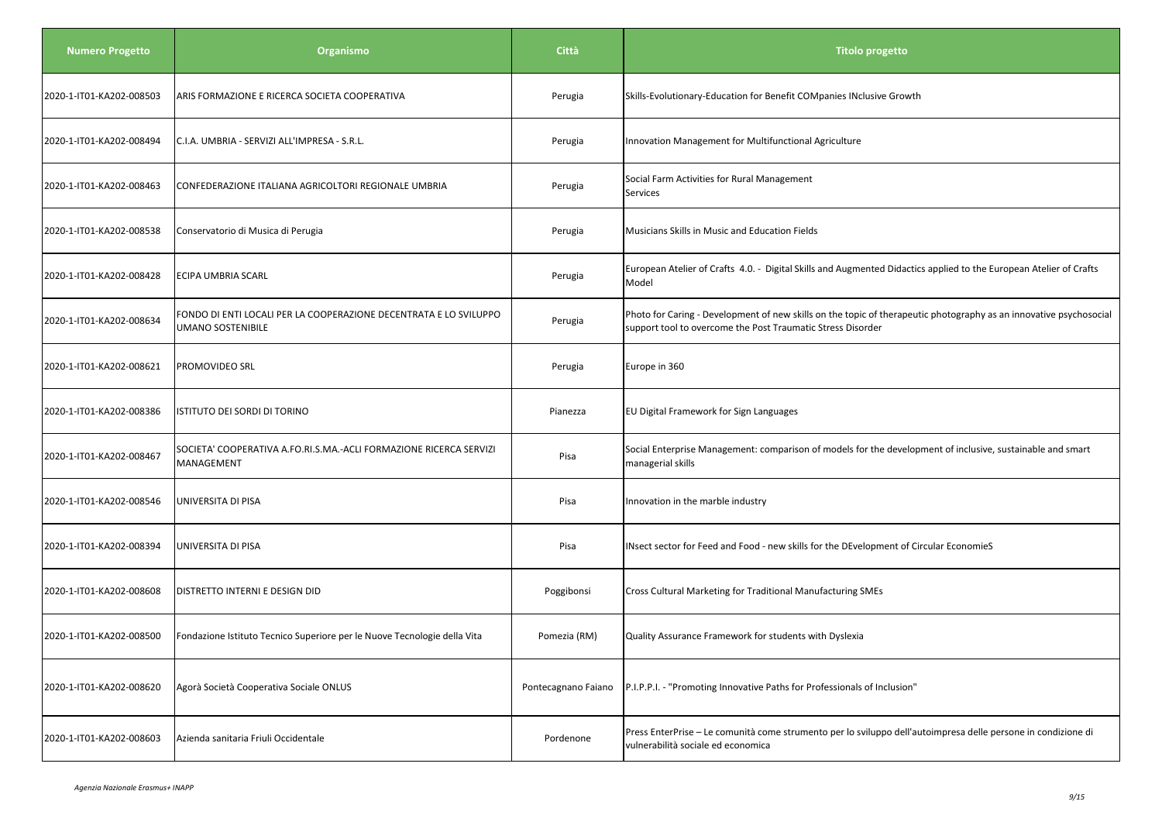| <b>Numero Progetto</b>   | Organismo                                                                              | Città               | <b>Titolo progetto</b>                                                                                                                                                            |
|--------------------------|----------------------------------------------------------------------------------------|---------------------|-----------------------------------------------------------------------------------------------------------------------------------------------------------------------------------|
| 2020-1-IT01-KA202-008503 | ARIS FORMAZIONE E RICERCA SOCIETA COOPERATIVA                                          | Perugia             | Skills-Evolutionary-Education for Benefit COMpanies INclusive Growth                                                                                                              |
| 2020-1-IT01-KA202-008494 | C.I.A. UMBRIA - SERVIZI ALL'IMPRESA - S.R.L.                                           | Perugia             | Innovation Management for Multifunctional Agriculture                                                                                                                             |
| 2020-1-IT01-KA202-008463 | CONFEDERAZIONE ITALIANA AGRICOLTORI REGIONALE UMBRIA                                   | Perugia             | Social Farm Activities for Rural Management<br>Services                                                                                                                           |
| 2020-1-IT01-KA202-008538 | Conservatorio di Musica di Perugia                                                     | Perugia             | Musicians Skills in Music and Education Fields                                                                                                                                    |
| 2020-1-IT01-KA202-008428 | ECIPA UMBRIA SCARL                                                                     | Perugia             | European Atelier of Crafts 4.0. - Digital Skills and Augmented Didactics applied to the European Atelier of Crafts<br>Model                                                       |
| 2020-1-IT01-KA202-008634 | FONDO DI ENTI LOCALI PER LA COOPERAZIONE DECENTRATA E LO SVILUPPO<br>UMANO SOSTENIBILE | Perugia             | Photo for Caring - Development of new skills on the topic of therapeutic photography as an innovative psychosocial<br>support tool to overcome the Post Traumatic Stress Disorder |
| 2020-1-IT01-KA202-008621 | PROMOVIDEO SRL                                                                         | Perugia             | Europe in 360                                                                                                                                                                     |
| 2020-1-IT01-KA202-008386 | ISTITUTO DEI SORDI DI TORINO                                                           | Pianezza            | EU Digital Framework for Sign Languages                                                                                                                                           |
| 2020-1-IT01-KA202-008467 | SOCIETA' COOPERATIVA A.FO.RI.S.MA.-ACLI FORMAZIONE RICERCA SERVIZI<br>MANAGEMENT       | Pisa                | Social Enterprise Management: comparison of models for the development of inclusive, sustainable and smart<br>managerial skills                                                   |
| 2020-1-IT01-KA202-008546 | UNIVERSITA DI PISA                                                                     | Pisa                | Innovation in the marble industry                                                                                                                                                 |
| 2020-1-IT01-KA202-008394 | UNIVERSITA DI PISA                                                                     | Pisa                | INsect sector for Feed and Food - new skills for the DEvelopment of Circular EconomieS                                                                                            |
| 2020-1-IT01-KA202-008608 | DISTRETTO INTERNI E DESIGN DID                                                         | Poggibonsi          | Cross Cultural Marketing for Traditional Manufacturing SMEs                                                                                                                       |
| 2020-1-IT01-KA202-008500 | Fondazione Istituto Tecnico Superiore per le Nuove Tecnologie della Vita               | Pomezia (RM)        | Quality Assurance Framework for students with Dyslexia                                                                                                                            |
| 2020-1-IT01-KA202-008620 | Agorà Società Cooperativa Sociale ONLUS                                                | Pontecagnano Faiano | P.I.P.P.I. - "Promoting Innovative Paths for Professionals of Inclusion"                                                                                                          |
| 2020-1-IT01-KA202-008603 | Azienda sanitaria Friuli Occidentale                                                   | Pordenone           | Press EnterPrise - Le comunità come strumento per lo sviluppo dell'autoimpresa delle persone in condizione di<br>vulnerabilità sociale ed economica                               |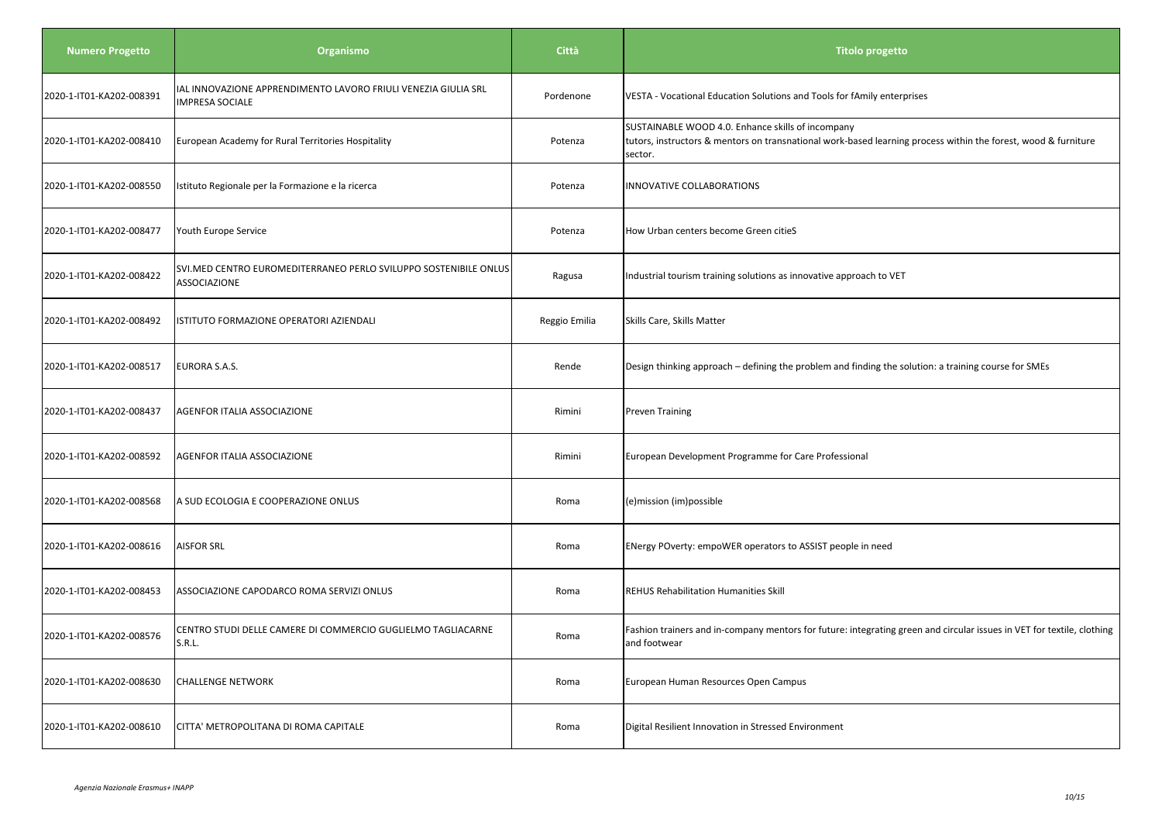| <b>Numero Progetto</b>   | Organismo                                                                                | Città         | <b>Titolo progetto</b>                                                                                                                                                         |
|--------------------------|------------------------------------------------------------------------------------------|---------------|--------------------------------------------------------------------------------------------------------------------------------------------------------------------------------|
| 2020-1-IT01-KA202-008391 | IAL INNOVAZIONE APPRENDIMENTO LAVORO FRIULI VENEZIA GIULIA SRL<br><b>IMPRESA SOCIALE</b> | Pordenone     | VESTA - Vocational Education Solutions and Tools for fAmily enterprises                                                                                                        |
| 2020-1-IT01-KA202-008410 | European Academy for Rural Territories Hospitality                                       | Potenza       | SUSTAINABLE WOOD 4.0. Enhance skills of incompany<br>tutors, instructors & mentors on transnational work-based learning process within the forest, wood & furniture<br>sector. |
| 2020-1-IT01-KA202-008550 | Istituto Regionale per la Formazione e la ricerca                                        | Potenza       | INNOVATIVE COLLABORATIONS                                                                                                                                                      |
| 2020-1-IT01-KA202-008477 | Youth Europe Service                                                                     | Potenza       | How Urban centers become Green citieS                                                                                                                                          |
| 2020-1-IT01-KA202-008422 | SVI.MED CENTRO EUROMEDITERRANEO PERLO SVILUPPO SOSTENIBILE ONLUS<br>ASSOCIAZIONE         | Ragusa        | Industrial tourism training solutions as innovative approach to VET                                                                                                            |
| 2020-1-IT01-KA202-008492 | ISTITUTO FORMAZIONE OPERATORI AZIENDALI                                                  | Reggio Emilia | Skills Care, Skills Matter                                                                                                                                                     |
| 2020-1-IT01-KA202-008517 | <b>EURORA S.A.S.</b>                                                                     | Rende         | Design thinking approach - defining the problem and finding the solution: a training course for SMEs                                                                           |
| 2020-1-IT01-KA202-008437 | AGENFOR ITALIA ASSOCIAZIONE                                                              | Rimini        | <b>Preven Training</b>                                                                                                                                                         |
| 2020-1-IT01-KA202-008592 | AGENFOR ITALIA ASSOCIAZIONE                                                              | Rimini        | European Development Programme for Care Professional                                                                                                                           |
| 2020-1-IT01-KA202-008568 | A SUD ECOLOGIA E COOPERAZIONE ONLUS                                                      | Roma          | (e)mission (im)possible                                                                                                                                                        |
| 2020-1-IT01-KA202-008616 | <b>AISFOR SRL</b>                                                                        | Roma          | ENergy POverty: empoWER operators to ASSIST people in need                                                                                                                     |
| 2020-1-IT01-KA202-008453 | ASSOCIAZIONE CAPODARCO ROMA SERVIZI ONLUS                                                | Roma          | <b>REHUS Rehabilitation Humanities Skill</b>                                                                                                                                   |
| 2020-1-IT01-KA202-008576 | CENTRO STUDI DELLE CAMERE DI COMMERCIO GUGLIELMO TAGLIACARNE<br>S.R.L.                   | Roma          | Fashion trainers and in-company mentors for future: integrating green and circular issues in VET for textile, clothing<br>and footwear                                         |
| 2020-1-IT01-KA202-008630 | <b>CHALLENGE NETWORK</b>                                                                 | Roma          | European Human Resources Open Campus                                                                                                                                           |
| 2020-1-IT01-KA202-008610 | CITTA' METROPOLITANA DI ROMA CAPITALE                                                    | Roma          | Digital Resilient Innovation in Stressed Environment                                                                                                                           |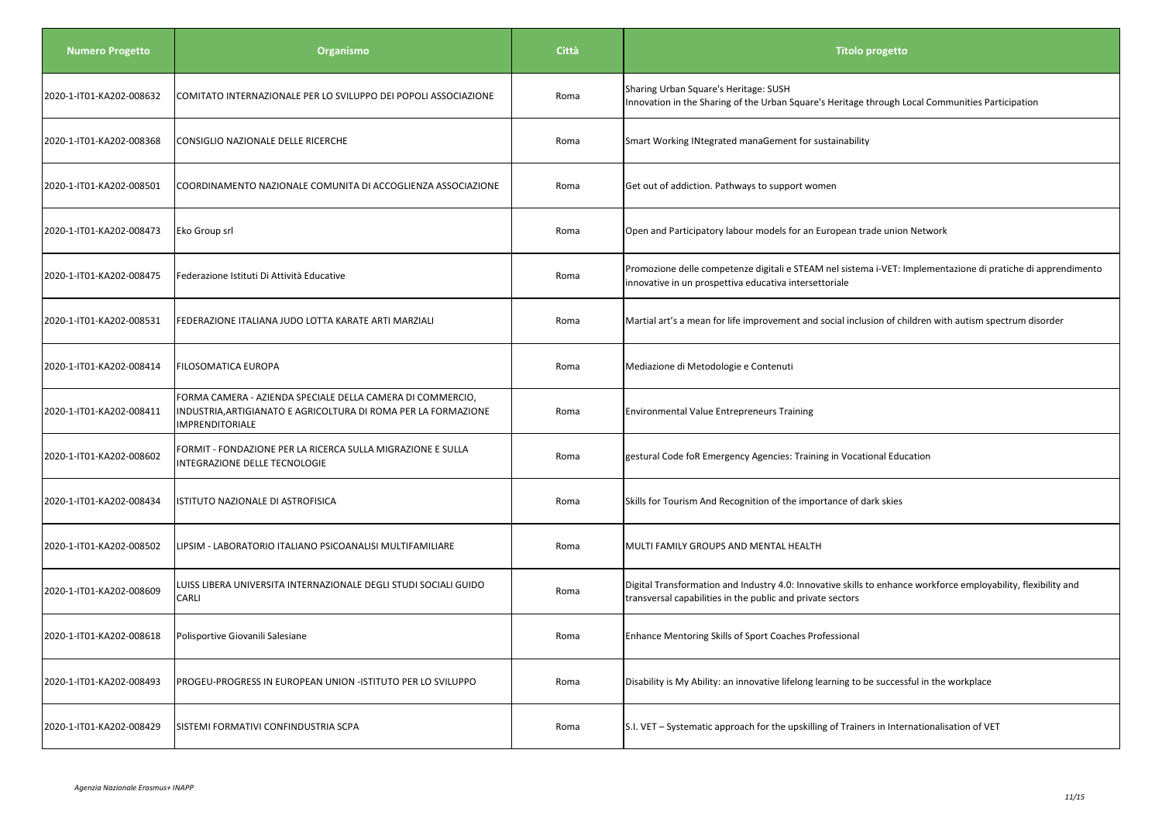| <b>Numero Progetto</b>   | Organismo                                                                                                                                              | <b>Città</b> | <b>Titolo progetto</b>                                                                                                                                                       |
|--------------------------|--------------------------------------------------------------------------------------------------------------------------------------------------------|--------------|------------------------------------------------------------------------------------------------------------------------------------------------------------------------------|
| 2020-1-IT01-KA202-008632 | COMITATO INTERNAZIONALE PER LO SVILUPPO DEI POPOLI ASSOCIAZIONE                                                                                        | Roma         | Sharing Urban Square's Heritage: SUSH<br>Innovation in the Sharing of the Urban Square's Heritage through Local Communities Participation                                    |
| 2020-1-IT01-KA202-008368 | CONSIGLIO NAZIONALE DELLE RICERCHE                                                                                                                     | Roma         | Smart Working INtegrated manaGement for sustainability                                                                                                                       |
| 2020-1-IT01-KA202-008501 | COORDINAMENTO NAZIONALE COMUNITA DI ACCOGLIENZA ASSOCIAZIONE                                                                                           | Roma         | Get out of addiction. Pathways to support women                                                                                                                              |
| 2020-1-IT01-KA202-008473 | Eko Group srl                                                                                                                                          | Roma         | Open and Participatory labour models for an European trade union Network                                                                                                     |
| 2020-1-IT01-KA202-008475 | Federazione Istituti Di Attività Educative                                                                                                             | Roma         | Promozione delle competenze digitali e STEAM nel sistema i-VET: Implementazione di pratiche di apprendimento<br>innovative in un prospettiva educativa intersettoriale       |
| 2020-1-IT01-KA202-008531 | FEDERAZIONE ITALIANA JUDO LOTTA KARATE ARTI MARZIALI                                                                                                   | Roma         | Martial art's a mean for life improvement and social inclusion of children with autism spectrum disorder                                                                     |
| 2020-1-IT01-KA202-008414 | <b>FILOSOMATICA EUROPA</b>                                                                                                                             | Roma         | Mediazione di Metodologie e Contenuti                                                                                                                                        |
| 2020-1-IT01-KA202-008411 | FORMA CAMERA - AZIENDA SPECIALE DELLA CAMERA DI COMMERCIO,<br>INDUSTRIA, ARTIGIANATO E AGRICOLTURA DI ROMA PER LA FORMAZIONE<br><b>IMPRENDITORIALE</b> | Roma         | <b>Environmental Value Entrepreneurs Training</b>                                                                                                                            |
| 2020-1-IT01-KA202-008602 | FORMIT - FONDAZIONE PER LA RICERCA SULLA MIGRAZIONE E SULLA<br>INTEGRAZIONE DELLE TECNOLOGIE                                                           | Roma         | gestural Code foR Emergency Agencies: Training in Vocational Education                                                                                                       |
| 2020-1-IT01-KA202-008434 | ISTITUTO NAZIONALE DI ASTROFISICA                                                                                                                      | Roma         | Skills for Tourism And Recognition of the importance of dark skies                                                                                                           |
| 2020-1-IT01-KA202-008502 | LIPSIM - LABORATORIO ITALIANO PSICOANALISI MULTIFAMILIARE                                                                                              | Roma         | MULTI FAMILY GROUPS AND MENTAL HEALTH                                                                                                                                        |
| 2020-1-IT01-KA202-008609 | LUISS LIBERA UNIVERSITA INTERNAZIONALE DEGLI STUDI SOCIALI GUIDO<br>CARLI                                                                              | Roma         | Digital Transformation and Industry 4.0: Innovative skills to enhance workforce employability, flexibility and<br>transversal capabilities in the public and private sectors |
| 2020-1-IT01-KA202-008618 | Polisportive Giovanili Salesiane                                                                                                                       | Roma         | Enhance Mentoring Skills of Sport Coaches Professional                                                                                                                       |
| 2020-1-IT01-KA202-008493 | PROGEU-PROGRESS IN EUROPEAN UNION -ISTITUTO PER LO SVILUPPO                                                                                            | Roma         | Disability is My Ability: an innovative lifelong learning to be successful in the workplace                                                                                  |
| 2020-1-IT01-KA202-008429 | SISTEMI FORMATIVI CONFINDUSTRIA SCPA                                                                                                                   | Roma         | S.I. VET - Systematic approach for the upskilling of Trainers in Internationalisation of VET                                                                                 |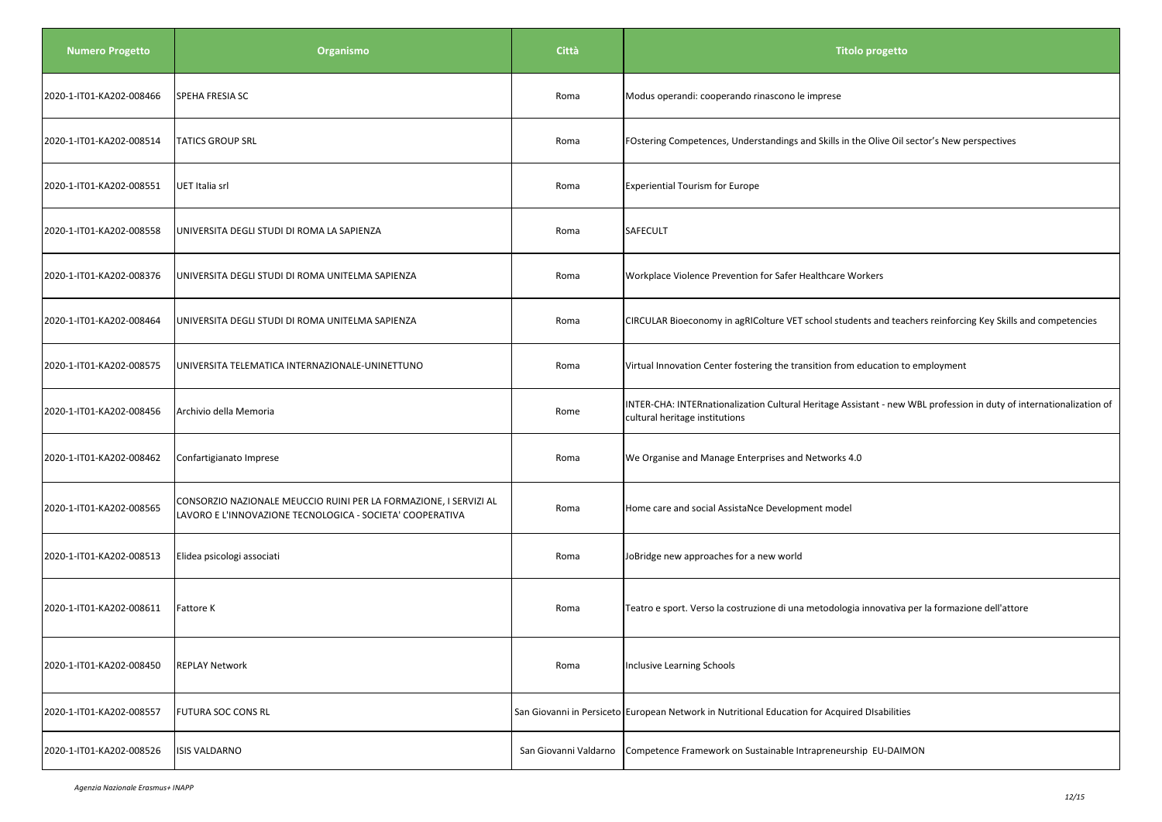| <b>Numero Progetto</b>   | Organismo                                                                                                                      | Città                 | Titolo progetto                                                                                                                                       |
|--------------------------|--------------------------------------------------------------------------------------------------------------------------------|-----------------------|-------------------------------------------------------------------------------------------------------------------------------------------------------|
| 2020-1-IT01-KA202-008466 | SPEHA FRESIA SC                                                                                                                | Roma                  | Modus operandi: cooperando rinascono le imprese                                                                                                       |
| 2020-1-IT01-KA202-008514 | <b>TATICS GROUP SRL</b>                                                                                                        | Roma                  | FOstering Competences, Understandings and Skills in the Olive Oil sector's New perspectives                                                           |
| 2020-1-IT01-KA202-008551 | UET Italia srl                                                                                                                 | Roma                  | <b>Experiential Tourism for Europe</b>                                                                                                                |
| 2020-1-IT01-KA202-008558 | UNIVERSITA DEGLI STUDI DI ROMA LA SAPIENZA                                                                                     | Roma                  | SAFECULT                                                                                                                                              |
| 2020-1-IT01-KA202-008376 | UNIVERSITA DEGLI STUDI DI ROMA UNITELMA SAPIENZA                                                                               | Roma                  | Workplace Violence Prevention for Safer Healthcare Workers                                                                                            |
| 2020-1-IT01-KA202-008464 | UNIVERSITA DEGLI STUDI DI ROMA UNITELMA SAPIENZA                                                                               | Roma                  | CIRCULAR Bioeconomy in agRIColture VET school students and teachers reinforcing Key Skills and competencies                                           |
| 2020-1-IT01-KA202-008575 | UNIVERSITA TELEMATICA INTERNAZIONALE-UNINETTUNO                                                                                | Roma                  | Virtual Innovation Center fostering the transition from education to employment                                                                       |
| 2020-1-IT01-KA202-008456 | Archivio della Memoria                                                                                                         | Rome                  | INTER-CHA: INTERnationalization Cultural Heritage Assistant - new WBL profession in duty of internationalization of<br>cultural heritage institutions |
| 2020-1-IT01-KA202-008462 | Confartigianato Imprese                                                                                                        | Roma                  | We Organise and Manage Enterprises and Networks 4.0                                                                                                   |
| 2020-1-IT01-KA202-008565 | CONSORZIO NAZIONALE MEUCCIO RUINI PER LA FORMAZIONE, I SERVIZI AL<br>LAVORO E L'INNOVAZIONE TECNOLOGICA - SOCIETA' COOPERATIVA | Roma                  | Home care and social AssistaNce Development model                                                                                                     |
| 2020-1-IT01-KA202-008513 | Elidea psicologi associati                                                                                                     | Roma                  | JoBridge new approaches for a new world                                                                                                               |
| 2020-1-IT01-KA202-008611 | <b>Fattore K</b>                                                                                                               | Roma                  | Teatro e sport. Verso la costruzione di una metodologia innovativa per la formazione dell'attore                                                      |
| 2020-1-IT01-KA202-008450 | <b>REPLAY Network</b>                                                                                                          | Roma                  | Inclusive Learning Schools                                                                                                                            |
| 2020-1-IT01-KA202-008557 | <b>FUTURA SOC CONS RL</b>                                                                                                      |                       | San Giovanni in Persiceto European Network in Nutritional Education for Acquired DIsabilities                                                         |
| 2020-1-IT01-KA202-008526 | <b>ISIS VALDARNO</b>                                                                                                           | San Giovanni Valdarno | Competence Framework on Sustainable Intrapreneurship EU-DAIMON                                                                                        |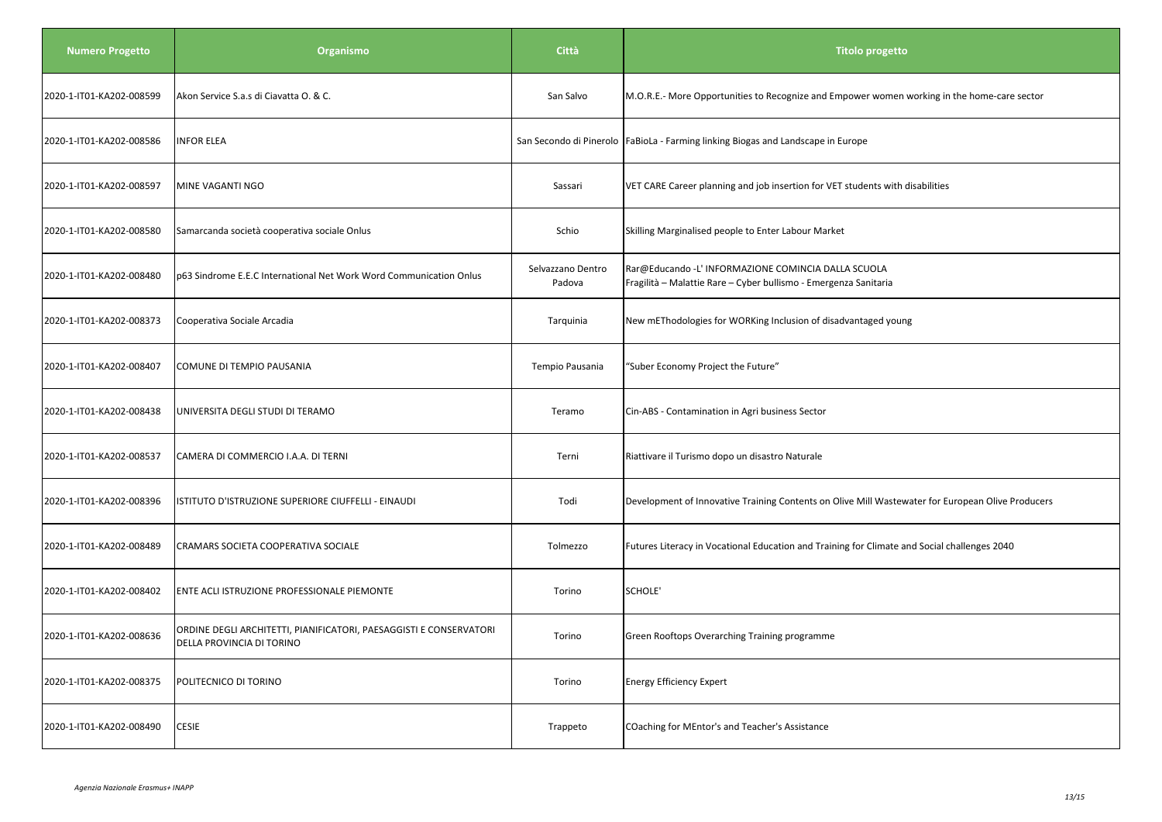| <b>Numero Progetto</b>   | Organismo                                                                                       | <b>Città</b>                | <b>Titolo progetto</b>                                                                                                  |
|--------------------------|-------------------------------------------------------------------------------------------------|-----------------------------|-------------------------------------------------------------------------------------------------------------------------|
| 2020-1-IT01-KA202-008599 | Akon Service S.a.s di Ciavatta O. & C.                                                          | San Salvo                   | M.O.R.E.- More Opportunities to Recognize and Empower women working in the home-care sector                             |
| 2020-1-IT01-KA202-008586 | <b>INFOR ELEA</b>                                                                               |                             | San Secondo di Pinerolo   FaBioLa - Farming linking Biogas and Landscape in Europe                                      |
| 2020-1-IT01-KA202-008597 | MINE VAGANTI NGO                                                                                | Sassari                     | VET CARE Career planning and job insertion for VET students with disabilities                                           |
| 2020-1-IT01-KA202-008580 | Samarcanda società cooperativa sociale Onlus                                                    | Schio                       | Skilling Marginalised people to Enter Labour Market                                                                     |
| 2020-1-IT01-KA202-008480 | p63 Sindrome E.E.C International Net Work Word Communication Onlus                              | Selvazzano Dentro<br>Padova | Rar@Educando -L' INFORMAZIONE COMINCIA DALLA SCUOLA<br>Fragilità - Malattie Rare - Cyber bullismo - Emergenza Sanitaria |
| 2020-1-IT01-KA202-008373 | Cooperativa Sociale Arcadia                                                                     | Tarquinia                   | New mEThodologies for WORKing Inclusion of disadvantaged young                                                          |
| 2020-1-IT01-KA202-008407 | COMUNE DI TEMPIO PAUSANIA                                                                       | Tempio Pausania             | "Suber Economy Project the Future"                                                                                      |
| 2020-1-IT01-KA202-008438 | UNIVERSITA DEGLI STUDI DI TERAMO                                                                | Teramo                      | Cin-ABS - Contamination in Agri business Sector                                                                         |
| 2020-1-IT01-KA202-008537 | CAMERA DI COMMERCIO I.A.A. DI TERNI                                                             | Terni                       | Riattivare il Turismo dopo un disastro Naturale                                                                         |
| 2020-1-IT01-KA202-008396 | ISTITUTO D'ISTRUZIONE SUPERIORE CIUFFELLI - EINAUDI                                             | Todi                        | Development of Innovative Training Contents on Olive Mill Wastewater for European Olive Producers                       |
| 2020-1-IT01-KA202-008489 | CRAMARS SOCIETA COOPERATIVA SOCIALE                                                             | Tolmezzo                    | Futures Literacy in Vocational Education and Training for Climate and Social challenges 2040                            |
| 2020-1-IT01-KA202-008402 | ENTE ACLI ISTRUZIONE PROFESSIONALE PIEMONTE                                                     | Torino                      | SCHOLE'                                                                                                                 |
| 2020-1-IT01-KA202-008636 | ORDINE DEGLI ARCHITETTI, PIANIFICATORI, PAESAGGISTI E CONSERVATORI<br>DELLA PROVINCIA DI TORINO | Torino                      | Green Rooftops Overarching Training programme                                                                           |
| 2020-1-IT01-KA202-008375 | POLITECNICO DI TORINO                                                                           | Torino                      | <b>Energy Efficiency Expert</b>                                                                                         |
| 2020-1-IT01-KA202-008490 | <b>CESIE</b>                                                                                    | Trappeto                    | COaching for MEntor's and Teacher's Assistance                                                                          |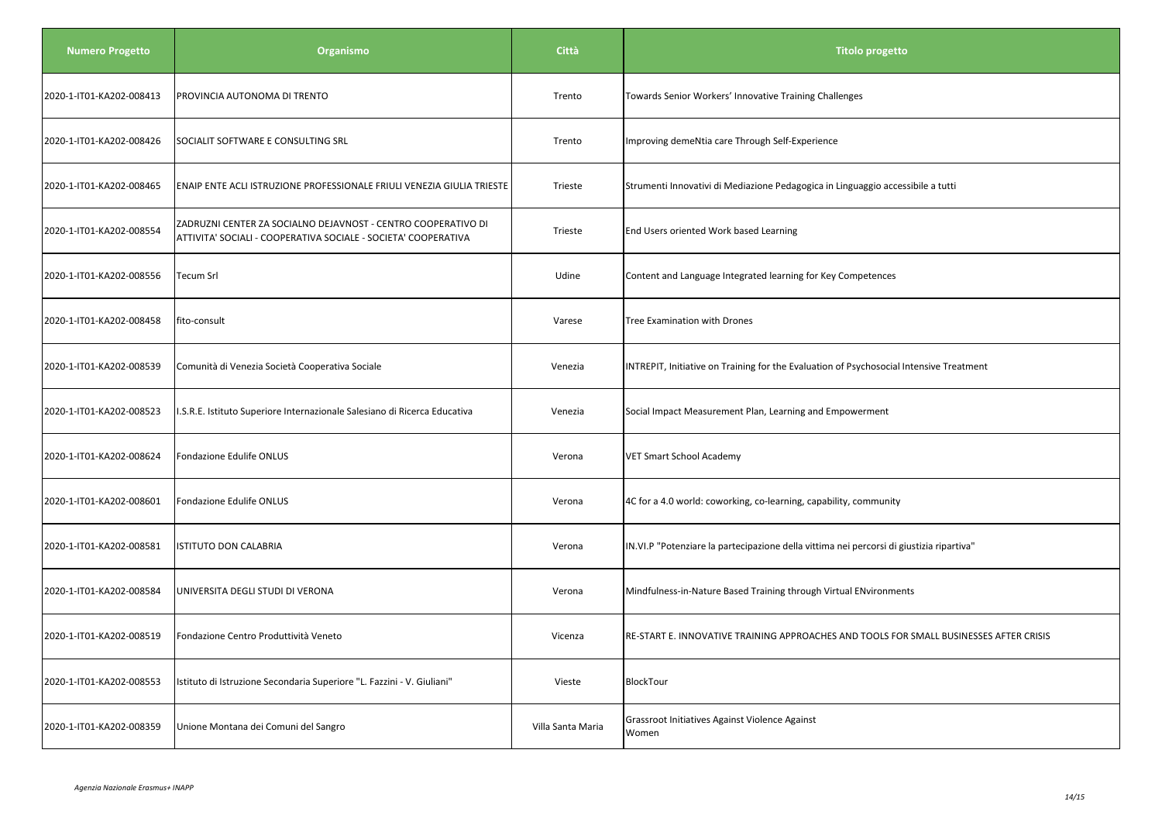| <b>Numero Progetto</b>   | Organismo                                                                                                                       | Città             | <b>Titolo progetto</b>                                                                   |
|--------------------------|---------------------------------------------------------------------------------------------------------------------------------|-------------------|------------------------------------------------------------------------------------------|
| 2020-1-IT01-KA202-008413 | PROVINCIA AUTONOMA DI TRENTO                                                                                                    | Trento            | Towards Senior Workers' Innovative Training Challenges                                   |
| 2020-1-IT01-KA202-008426 | SOCIALIT SOFTWARE E CONSULTING SRL                                                                                              | Trento            | Improving demeNtia care Through Self-Experience                                          |
| 2020-1-IT01-KA202-008465 | ENAIP ENTE ACLI ISTRUZIONE PROFESSIONALE FRIULI VENEZIA GIULIA TRIESTE                                                          | Trieste           | Strumenti Innovativi di Mediazione Pedagogica in Linguaggio accessibile a tutti          |
| 2020-1-IT01-KA202-008554 | ZADRUZNI CENTER ZA SOCIALNO DEJAVNOST - CENTRO COOPERATIVO DI<br>ATTIVITA' SOCIALI - COOPERATIVA SOCIALE - SOCIETA' COOPERATIVA | Trieste           | End Users oriented Work based Learning                                                   |
| 2020-1-IT01-KA202-008556 | Tecum Srl                                                                                                                       | Udine             | Content and Language Integrated learning for Key Competences                             |
| 2020-1-IT01-KA202-008458 | fito-consult                                                                                                                    | Varese            | Tree Examination with Drones                                                             |
| 2020-1-IT01-KA202-008539 | Comunità di Venezia Società Cooperativa Sociale                                                                                 | Venezia           | INTREPIT, Initiative on Training for the Evaluation of Psychosocial Intensive Treatment  |
| 2020-1-IT01-KA202-008523 | I.S.R.E. Istituto Superiore Internazionale Salesiano di Ricerca Educativa                                                       | Venezia           | Social Impact Measurement Plan, Learning and Empowerment                                 |
| 2020-1-IT01-KA202-008624 | Fondazione Edulife ONLUS                                                                                                        | Verona            | VET Smart School Academy                                                                 |
| 2020-1-IT01-KA202-008601 | Fondazione Edulife ONLUS                                                                                                        | Verona            | 4C for a 4.0 world: coworking, co-learning, capability, community                        |
| 2020-1-IT01-KA202-008581 | <b>ISTITUTO DON CALABRIA</b>                                                                                                    | Verona            | IN.VI.P "Potenziare la partecipazione della vittima nei percorsi di giustizia ripartiva" |
| 2020-1-IT01-KA202-008584 | UNIVERSITA DEGLI STUDI DI VERONA                                                                                                | Verona            | Mindfulness-in-Nature Based Training through Virtual ENvironments                        |
| 2020-1-IT01-KA202-008519 | Fondazione Centro Produttività Veneto                                                                                           | Vicenza           | RE-START E. INNOVATIVE TRAINING APPROACHES AND TOOLS FOR SMALL BUSINESSES AFTER CRISIS   |
| 2020-1-IT01-KA202-008553 | Istituto di Istruzione Secondaria Superiore "L. Fazzini - V. Giuliani"                                                          | Vieste            | BlockTour                                                                                |
| 2020-1-IT01-KA202-008359 | Unione Montana dei Comuni del Sangro                                                                                            | Villa Santa Maria | Grassroot Initiatives Against Violence Against<br>Women                                  |